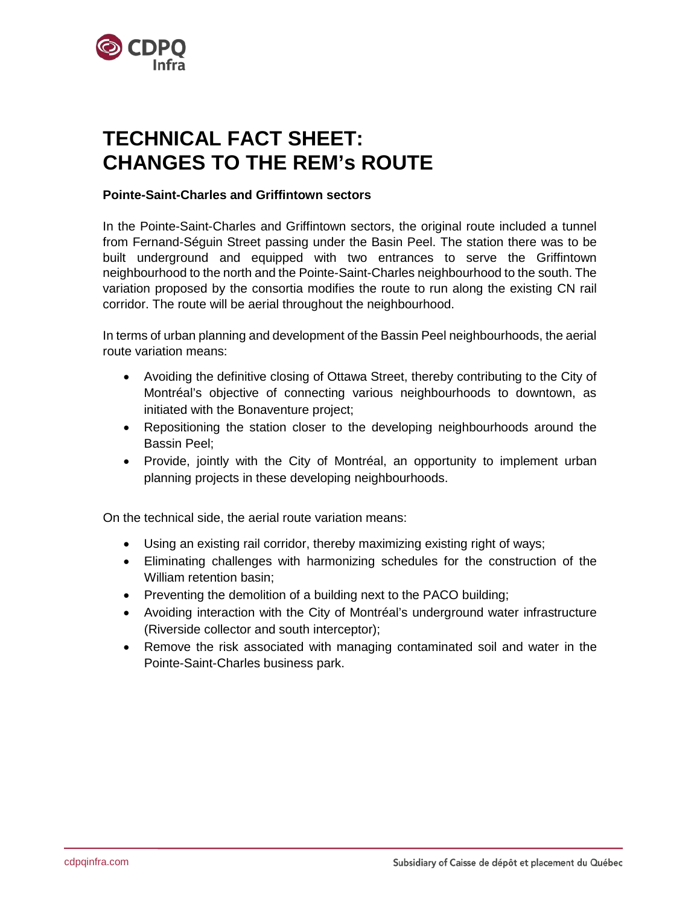

## **TECHNICAL FACT SHEET: CHANGES TO THE REM's ROUTE**

## **Pointe-Saint-Charles and Griffintown sectors**

In the Pointe-Saint-Charles and Griffintown sectors, the original route included a tunnel from Fernand-Séguin Street passing under the Basin Peel. The station there was to be built underground and equipped with two entrances to serve the Griffintown neighbourhood to the north and the Pointe-Saint-Charles neighbourhood to the south. The variation proposed by the consortia modifies the route to run along the existing CN rail corridor. The route will be aerial throughout the neighbourhood.

In terms of urban planning and development of the Bassin Peel neighbourhoods, the aerial route variation means:

- Avoiding the definitive closing of Ottawa Street, thereby contributing to the City of Montréal's objective of connecting various neighbourhoods to downtown, as initiated with the Bonaventure project;
- Repositioning the station closer to the developing neighbourhoods around the Bassin Peel;
- Provide, jointly with the City of Montréal, an opportunity to implement urban planning projects in these developing neighbourhoods.

On the technical side, the aerial route variation means:

- Using an existing rail corridor, thereby maximizing existing right of ways;
- Eliminating challenges with harmonizing schedules for the construction of the William retention basin;
- Preventing the demolition of a building next to the PACO building;
- Avoiding interaction with the City of Montréal's underground water infrastructure (Riverside collector and south interceptor);
- Remove the risk associated with managing contaminated soil and water in the Pointe-Saint-Charles business park.